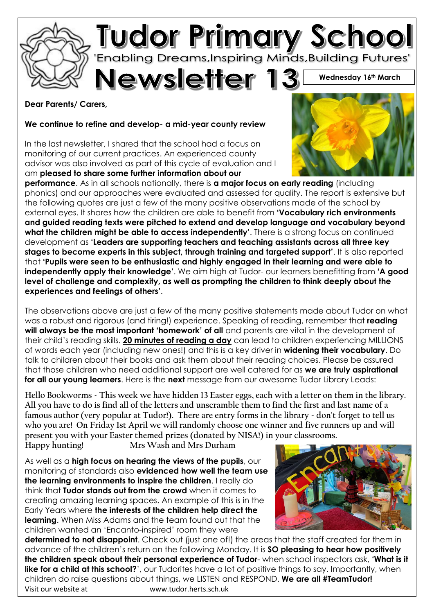

## **Dear Parents/ Carers,**

**We continue to refine and develop- a mid-year county review**

In the last newsletter, I shared that the school had a focus on monitoring of our current practices. An experienced county advisor was also involved as part of this cycle of evaluation and I am **pleased to share some further information about our** 

**performance**. As in all schools nationally, there is **a major focus on early reading** (including phonics) and our approaches were evaluated and assessed for quality. The report is extensive but the following quotes are just a few of the many positive observations made of the school by external eyes. It shares how the children are able to benefit from **'Vocabulary rich environments** 

**and guided reading texts were pitched to extend and develop language and vocabulary beyond what the children might be able to access independently'**. There is a strong focus on continued development as **'Leaders are supporting teachers and teaching assistants across all three key stages to become experts in this subject, through training and targeted support'**. It is also reported that **'Pupils were seen to be enthusiastic and highly engaged in their learning and were able to independently apply their knowledge'**. We aim high at Tudor- our learners benefitting from **'A good level of challenge and complexity, as well as prompting the children to think deeply about the experiences and feelings of others'**.

The observations above are just a few of the many positive statements made about Tudor on what was a robust and rigorous (and tiring!) experience. Speaking of reading, remember that **reading**  will always be the most important 'homework' of all and parents are vital in the development of their child's reading skills. **20 minutes of reading a day** can lead to children experiencing MILLIONS of words each year (including new ones!) and this is a key driver in **widening their vocabulary**. Do talk to children about their books and ask them about their reading choices. Please be assured that those children who need additional support are well catered for as **we are truly aspirational for all our young learners**. Here is the **next** message from our awesome Tudor Library Leads:

**Hello Bookworms - This week we have hidden 13 Easter eggs, each with a letter on them in the library. All you have to do is find all of the letters and unscramble them to find the first and last name of a famous author (very popular at Tudor!). There are entry forms in the library - don't forget to tell us who you are! On Friday 1st April we will randomly choose one winner and five runners up and will present you with your Easter themed prizes (donated by NISA!) in your classrooms.**

**Happy hunting! Mrs Wash and Mrs Durham**

As well as a **high focus on hearing the views of the pupils**, our monitoring of standards also **evidenced how well the team use the learning environments to inspire the children**. I really do think that **Tudor stands out from the crowd** when it comes to creating amazing learning spaces. An example of this is in the Early Years where **the interests of the children help direct the learning**. When Miss Adams and the team found out that the children wanted an 'Encanto-inspired' room they were



Visit our website at www.tudor.herts.sch.uk **determined to not disappoint**. Check out (just one of!) the areas that the staff created for them in advance of the children's return on the following Monday. It is **SO pleasing to hear how positively the children speak about their personal experience of Tudor**- when school inspectors ask, **'What is it**  like for a child at this school?', our Tudorites have a lot of positive things to say. Importantly, when children do raise questions about things, we LISTEN and RESPOND. **We are all #TeamTudor!**